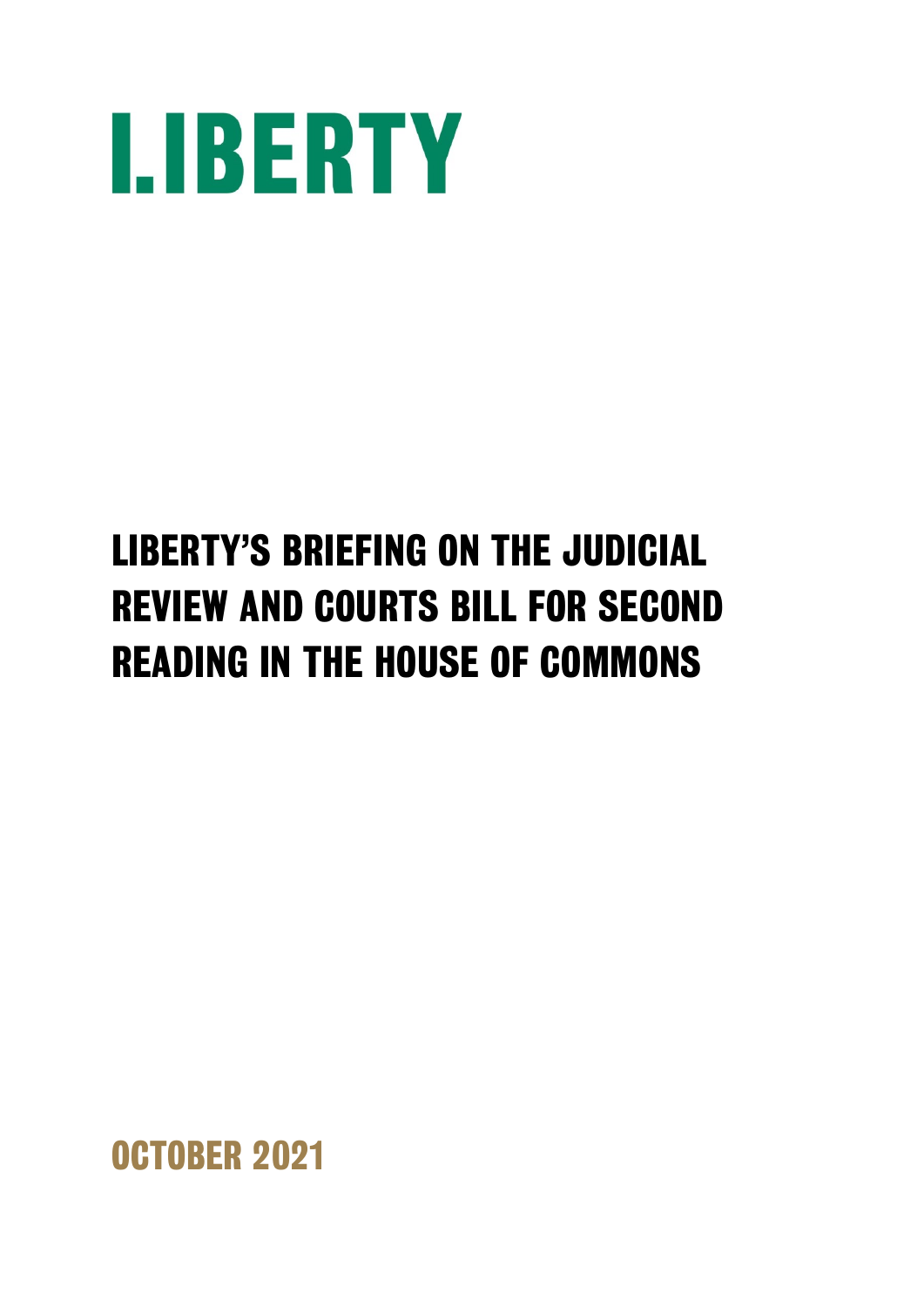

# **LIBERTY'S BRIEFING ON THE JUDICIAL REVIEW AND COURTS BILL FOR SECOND READING IN THE HOUSE OF COMMONS**

**OCTOBER 2021**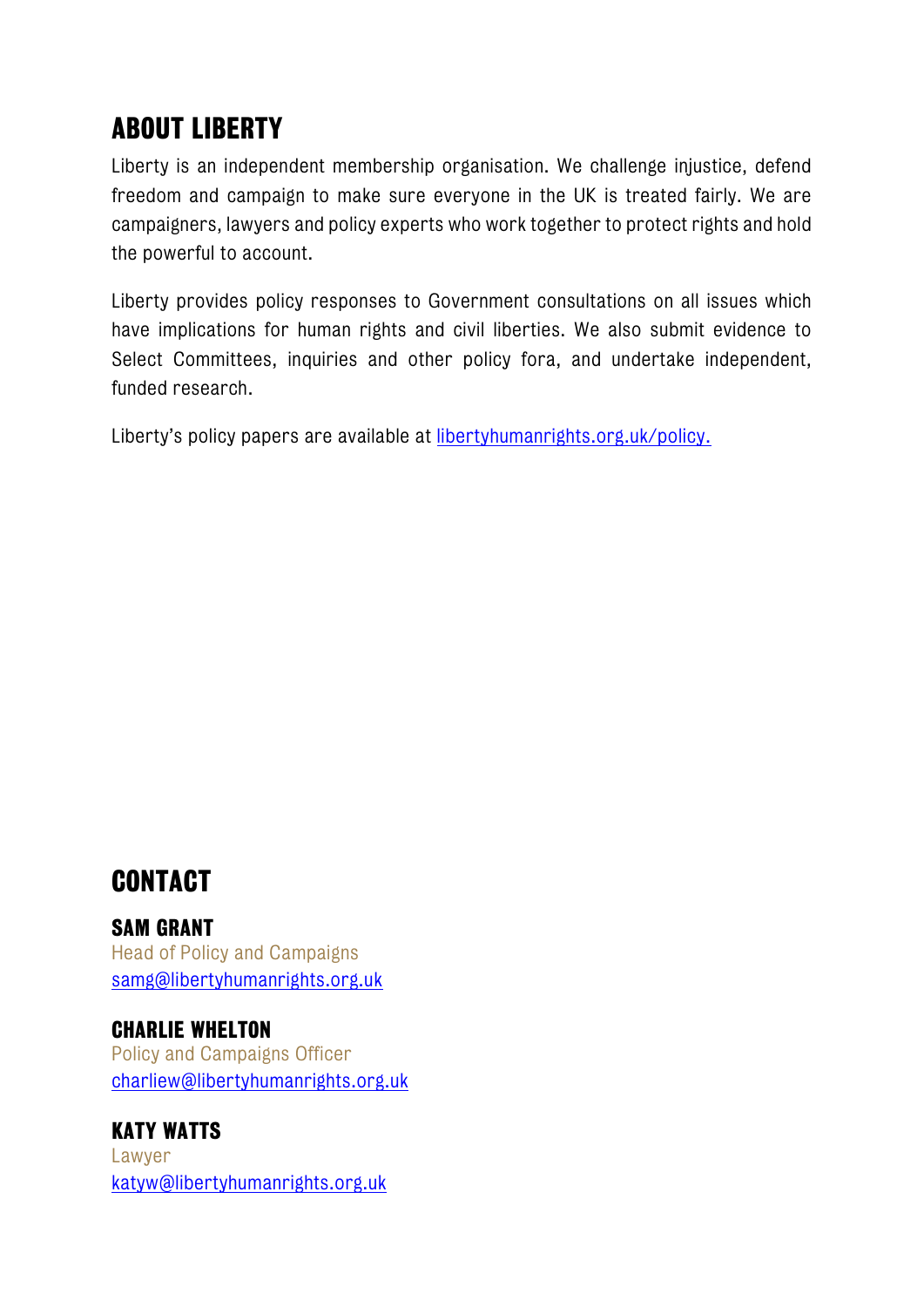# **ABOUT LIBERTY**

Liberty is an independent membership organisation. We challenge injustice, defend freedom and campaign to make sure everyone in the UK is treated fairly. We are campaigners, lawyers and policy experts who work together to protect rights and hold the powerful to account.

Liberty provides policy responses to Government consultations on all issues which have implications for human rights and civil liberties. We also submit evidence to Select Committees, inquiries and other policy fora, and undertake independent, funded research.

Liberty's policy papers are available at [libertyhumanrights.org.uk/policy.](http://www.libertyhumanrights.org.uk/policy/)

# **CONTACT**

#### **SAM GRANT**

Head of Policy and Campaigns [samg@libertyhumanrights.org.uk](mailto:samg@libertyhumanrights.org.uk)

#### **CHARLIE WHELTON**

Policy and Campaigns Officer [charliew@libertyhumanrights.org.uk](mailto:charliew@libertyhumanrights.org.uk)

# **KATY WATTS**

Lawyer [katyw@libertyhumanrights.org.uk](mailto:katyw@libertyhumanrights.org.uk)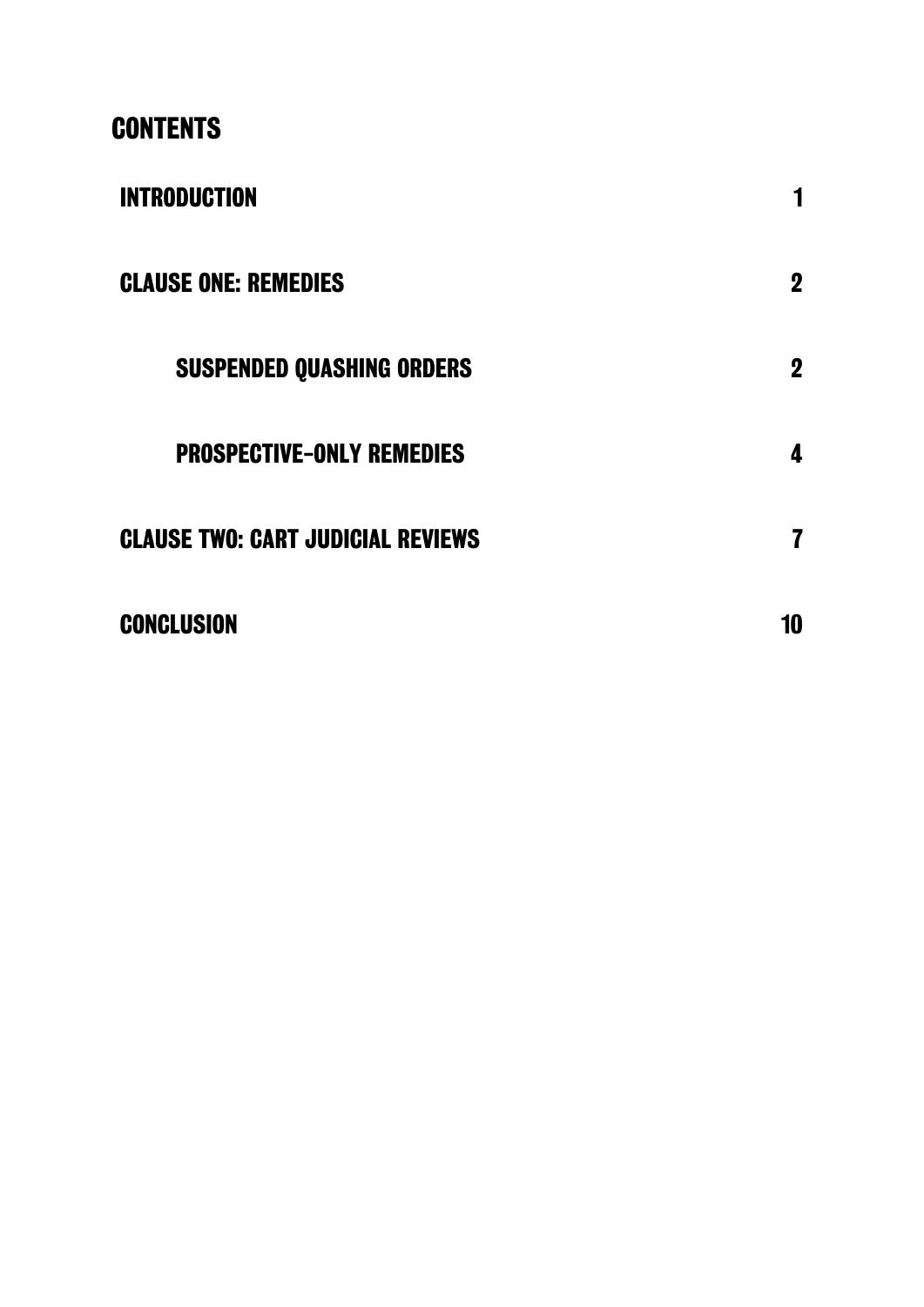# **CONTENTS**

| <b>INTRODUCTION</b>                      | 1           |
|------------------------------------------|-------------|
| <b>CLAUSE ONE: REMEDIES</b>              | $\mathbf 2$ |
| <b>SUSPENDED QUASHING ORDERS</b>         | $\mathbf 2$ |
| <b>PROSPECTIVE-ONLY REMEDIES</b>         | 4           |
| <b>CLAUSE TWO: CART JUDICIAL REVIEWS</b> | 7           |
| <b>CONCLUSION</b>                        | 10          |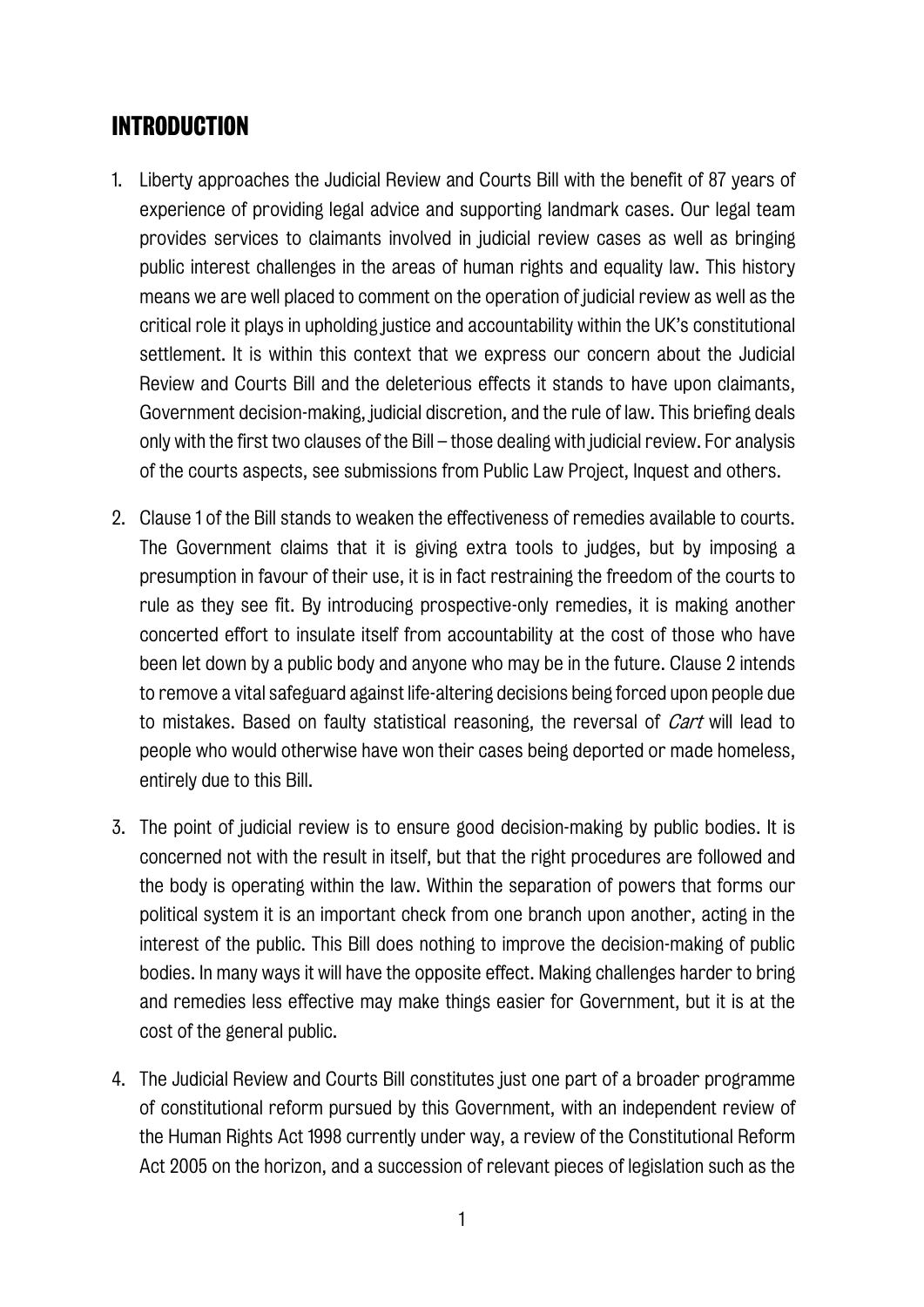## **INTRODUCTION**

- 1. Liberty approaches the Judicial Review and Courts Bill with the benefit of 87 years of experience of providing legal advice and supporting landmark cases. Our legal team provides services to claimants involved in judicial review cases as well as bringing public interest challenges in the areas of human rights and equality law. This history means we are well placed to comment on the operation of judicial review as well as the critical role it plays in upholding justice and accountability within the UK's constitutional settlement. It is within this context that we express our concern about the Judicial Review and Courts Bill and the deleterious effects it stands to have upon claimants, Government decision-making, judicial discretion, and the rule of law. This briefing deals only with the first two clauses of the Bill – those dealing with judicial review. For analysis of the courts aspects, see submissions from Public Law Project, Inquest and others.
- 2. Clause 1 of the Bill stands to weaken the effectiveness of remedies available to courts. The Government claims that it is giving extra tools to judges, but by imposing a presumption in favour of their use, it is in fact restraining the freedom of the courts to rule as they see fit. By introducing prospective-only remedies, it is making another concerted effort to insulate itself from accountability at the cost of those who have been let down by a public body and anyone who may be in the future. Clause 2 intends to remove a vital safeguard against life-altering decisions being forced upon people due to mistakes. Based on faulty statistical reasoning, the reversal of *Cart* will lead to people who would otherwise have won their cases being deported or made homeless, entirely due to this Bill.
- 3. The point of judicial review is to ensure good decision-making by public bodies. It is concerned not with the result in itself, but that the right procedures are followed and the body is operating within the law. Within the separation of powers that forms our political system it is an important check from one branch upon another, acting in the interest of the public. This Bill does nothing to improve the decision-making of public bodies. In many ways it will have the opposite effect. Making challenges harder to bring and remedies less effective may make things easier for Government, but it is at the cost of the general public.
- 4. The Judicial Review and Courts Bill constitutes just one part of a broader programme of constitutional reform pursued by this Government, with an independent review of the Human Rights Act 1998 currently under way, a review of the Constitutional Reform Act 2005 on the horizon, and a succession of relevant pieces of legislation such as the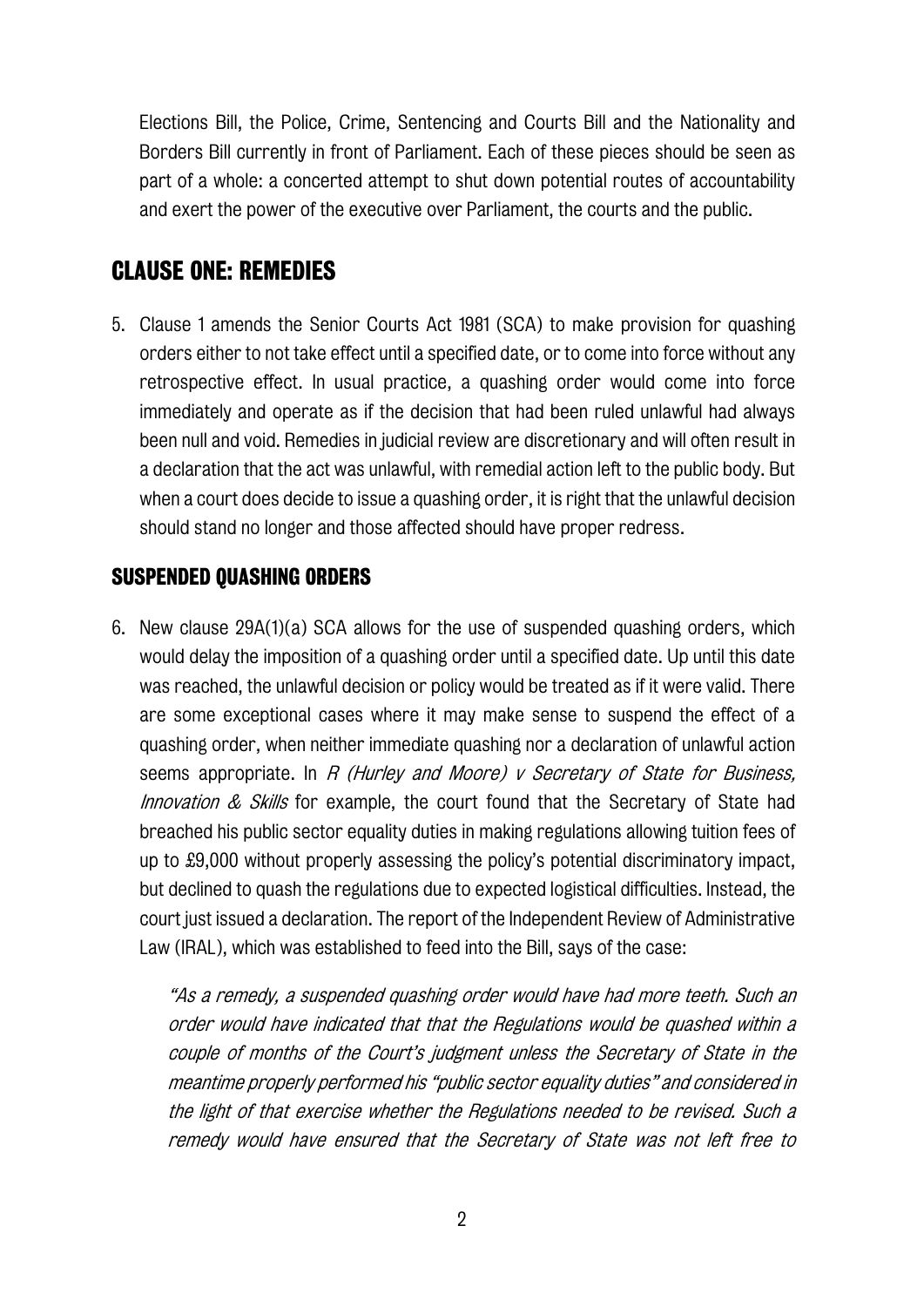Elections Bill, the Police, Crime, Sentencing and Courts Bill and the Nationality and Borders Bill currently in front of Parliament. Each of these pieces should be seen as part of a whole: a concerted attempt to shut down potential routes of accountability and exert the power of the executive over Parliament, the courts and the public.

## **CLAUSE ONE: REMEDIES**

5. Clause 1 amends the Senior Courts Act 1981 (SCA) to make provision for quashing orders either to not take effect until a specified date, or to come into force without any retrospective effect. In usual practice, a quashing order would come into force immediately and operate as if the decision that had been ruled unlawful had always been null and void. Remedies in judicial review are discretionary and will often result in a declaration that the act was unlawful, with remedial action left to the public body. But when a court does decide to issue a quashing order, it is right that the unlawful decision should stand no longer and those affected should have proper redress.

#### **SUSPENDED QUASHING ORDERS**

6. New clause 29A(1)(a) SCA allows for the use of suspended quashing orders, which would delay the imposition of a quashing order until a specified date. Up until this date was reached, the unlawful decision or policy would be treated as if it were valid. There are some exceptional cases where it may make sense to suspend the effect of a quashing order, when neither immediate quashing nor a declaration of unlawful action seems appropriate. In R (Hurley and Moore) v Secretary of State for Business, Innovation & Skills for example, the court found that the Secretary of State had breached his public sector equality duties in making regulations allowing tuition fees of up to £9,000 without properly assessing the policy's potential discriminatory impact, but declined to quash the regulations due to expected logistical difficulties. Instead, the court just issued a declaration. The report of the Independent Review of Administrative Law (IRAL), which was established to feed into the Bill, says of the case:

"As a remedy, a suspended quashing order would have had more teeth. Such an order would have indicated that that the Regulations would be quashed within a couple of months of the Court's judgment unless the Secretary of State in the meantime properly performed his "public sector equality duties" and considered in the light of that exercise whether the Regulations needed to be revised. Such a remedy would have ensured that the Secretary of State was not left free to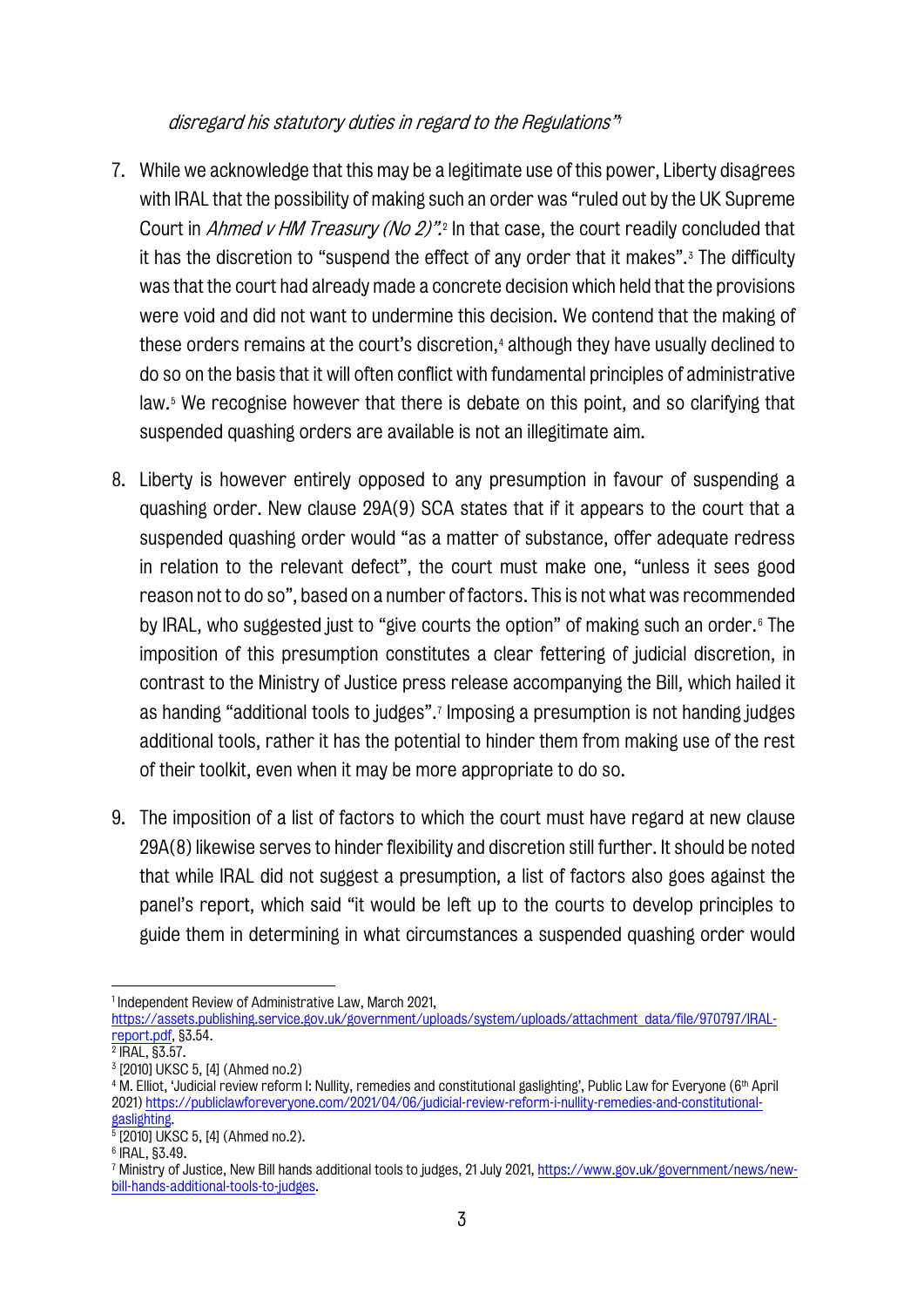#### disregard his statutory duties in regard to the Regulations["1](#page-5-0)

- 7. While we acknowledge that this may be a legitimate use of this power, Liberty disagrees with IRAL that the possibility of making such an order was "ruled out by the UK Supreme Court in *Ahmed v HM Treasury (No [2](#page-5-1))"*.<sup>2</sup> In that case, the court readily concluded that it has the discretion to "suspend the effect of any order that it makes".<sup>[3](#page-5-2)</sup> The difficulty was that the court had already made a concrete decision which held that the provisions were void and did not want to undermine this decision. We contend that the making of these orders remains at the court's discretion, [4](#page-5-3) although they have usually declined to do so on the basis that it will often conflict with fundamental principles of administrative law.<sup>[5](#page-5-4)</sup> We recognise however that there is debate on this point, and so clarifying that suspended quashing orders are available is not an illegitimate aim.
- 8. Liberty is however entirely opposed to any presumption in favour of suspending a quashing order. New clause 29A(9) SCA states that if it appears to the court that a suspended quashing order would "as a matter of substance, offer adequate redress in relation to the relevant defect", the court must make one, "unless it sees good reason not to do so", based on a number of factors. This is not what was recommended by IRAL, who suggested just to "give courts the option" of making such an order.[6](#page-5-5) The imposition of this presumption constitutes a clear fettering of judicial discretion, in contrast to the Ministry of Justice press release accompanying the Bill, which hailed it as handing "additional tools to judges".[7](#page-5-6) Imposing a presumption is not handing judges additional tools, rather it has the potential to hinder them from making use of the rest of their toolkit, even when it may be more appropriate to do so.
- 9. The imposition of a list of factors to which the court must have regard at new clause 29A(8) likewise serves to hinder flexibility and discretion still further. It should be noted that while IRAL did not suggest a presumption, a list of factors also goes against the panel's report, which said "it would be left up to the courts to develop principles to guide them in determining in what circumstances a suspended quashing order would

<span id="page-5-0"></span><sup>1</sup> Independent Review of Administrative Law, March 2021,

[https://assets.publishing.service.gov.uk/government/uploads/system/uploads/attachment\\_data/file/970797/IRAL](https://assets.publishing.service.gov.uk/government/uploads/system/uploads/attachment_data/file/970797/IRAL-report.pdf)[report.pdf,](https://assets.publishing.service.gov.uk/government/uploads/system/uploads/attachment_data/file/970797/IRAL-report.pdf) §3.54.

<span id="page-5-1"></span><sup>&</sup>lt;sup>2</sup> IRAL, §3.57.

<span id="page-5-2"></span><sup>3</sup> [2010] UKSC 5, [4] (Ahmed no.2)

<span id="page-5-3"></span><sup>4</sup> M. Elliot, 'Judicial review reform I: Nullity, remedies and constitutional gaslighting', Public Law for Everyone (6th April 2021) [https://publiclawforeveryone.com/2021/04/06/judicial-review-reform-i-nullity-remedies-and-constitutional-](https://publiclawforeveryone.com/2021/04/06/judicial-review-reform-i-nullity-remedies-and-constitutional-gaslighting)

 $\frac{gaslighting}{5}$  [2010] UKSC 5, [4] (Ahmed no.2).

<span id="page-5-5"></span><span id="page-5-4"></span><sup>6</sup> IRAL, §3.49.

<span id="page-5-6"></span><sup>7</sup> Ministry of Justice, New Bill hands additional tools to judges, 21 July 2021[, https://www.gov.uk/government/news/new](https://www.gov.uk/government/news/new-bill-hands-additional-tools-to-judges)[bill-hands-additional-tools-to-judges.](https://www.gov.uk/government/news/new-bill-hands-additional-tools-to-judges)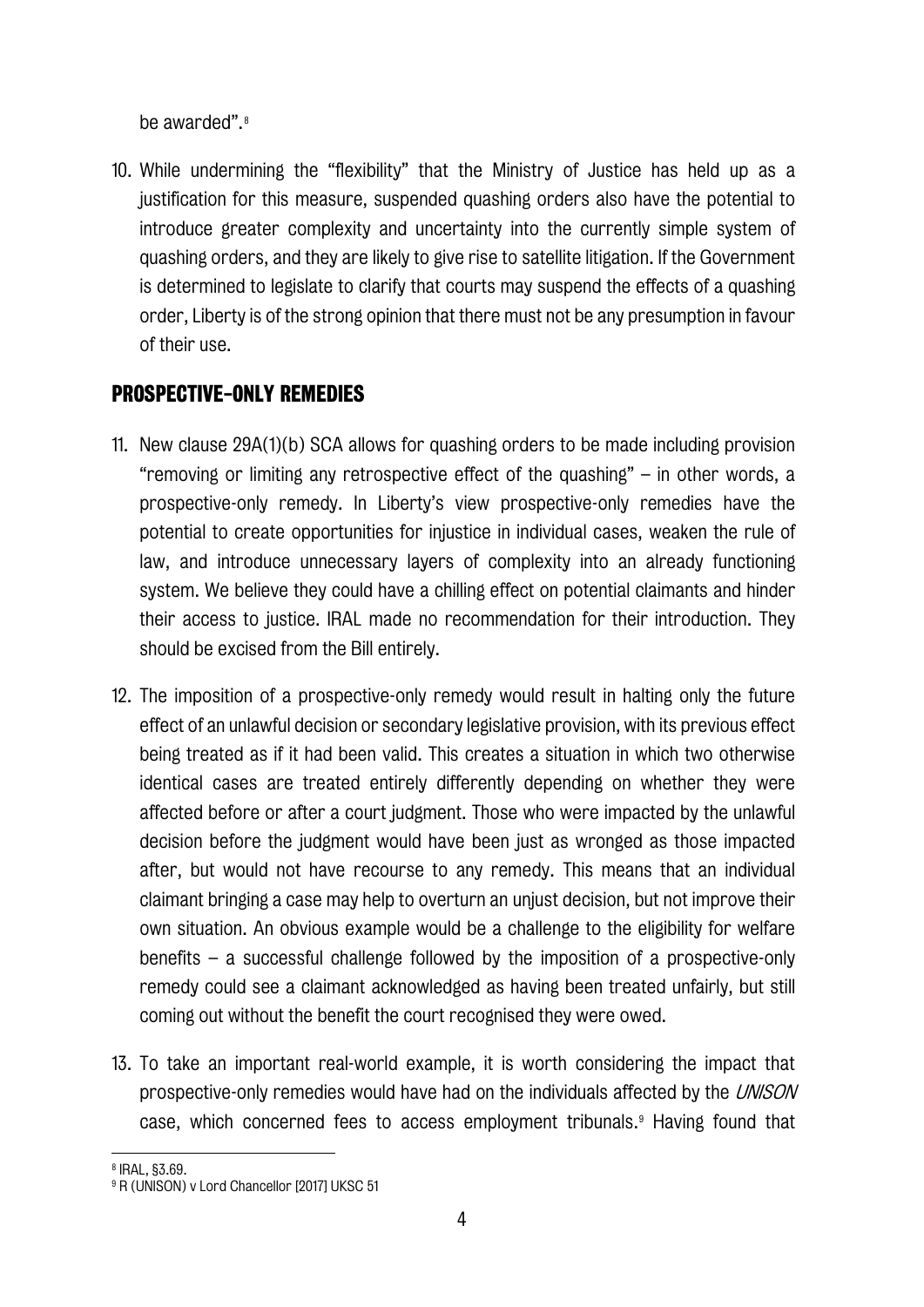be awarded".<sup>[8](#page-6-0)</sup>

10. While undermining the "flexibility" that the Ministry of Justice has held up as a justification for this measure, suspended quashing orders also have the potential to introduce greater complexity and uncertainty into the currently simple system of quashing orders, and they are likely to give rise to satellite litigation. If the Government is determined to legislate to clarify that courts may suspend the effects of a quashing order, Liberty is of the strong opinion that there must not be any presumption in favour of their use.

#### **PROSPECTIVE-ONLY REMEDIES**

- 11. New clause 29A(1)(b) SCA allows for quashing orders to be made including provision "removing or limiting any retrospective effect of the quashing" – in other words, a prospective-only remedy. In Liberty's view prospective-only remedies have the potential to create opportunities for injustice in individual cases, weaken the rule of law, and introduce unnecessary layers of complexity into an already functioning system. We believe they could have a chilling effect on potential claimants and hinder their access to justice. IRAL made no recommendation for their introduction. They should be excised from the Bill entirely.
- 12. The imposition of a prospective-only remedy would result in halting only the future effect of an unlawful decision or secondary legislative provision, with its previous effect being treated as if it had been valid. This creates a situation in which two otherwise identical cases are treated entirely differently depending on whether they were affected before or after a court judgment. Those who were impacted by the unlawful decision before the judgment would have been just as wronged as those impacted after, but would not have recourse to any remedy. This means that an individual claimant bringing a case may help to overturn an unjust decision, but not improve their own situation. An obvious example would be a challenge to the eligibility for welfare benefits – a successful challenge followed by the imposition of a prospective-only remedy could see a claimant acknowledged as having been treated unfairly, but still coming out without the benefit the court recognised they were owed.
- 13. To take an important real-world example, it is worth considering the impact that prospective-only remedies would have had on the individuals affected by the *UNISON* case, which concerned fees to access employment tribunals.<sup>[9](#page-6-1)</sup> Having found that

<span id="page-6-0"></span><sup>8</sup> IRAL, §3.69.

<span id="page-6-1"></span><sup>&</sup>lt;sup>9</sup> R (UNISON) v Lord Chancellor [2017] UKSC 51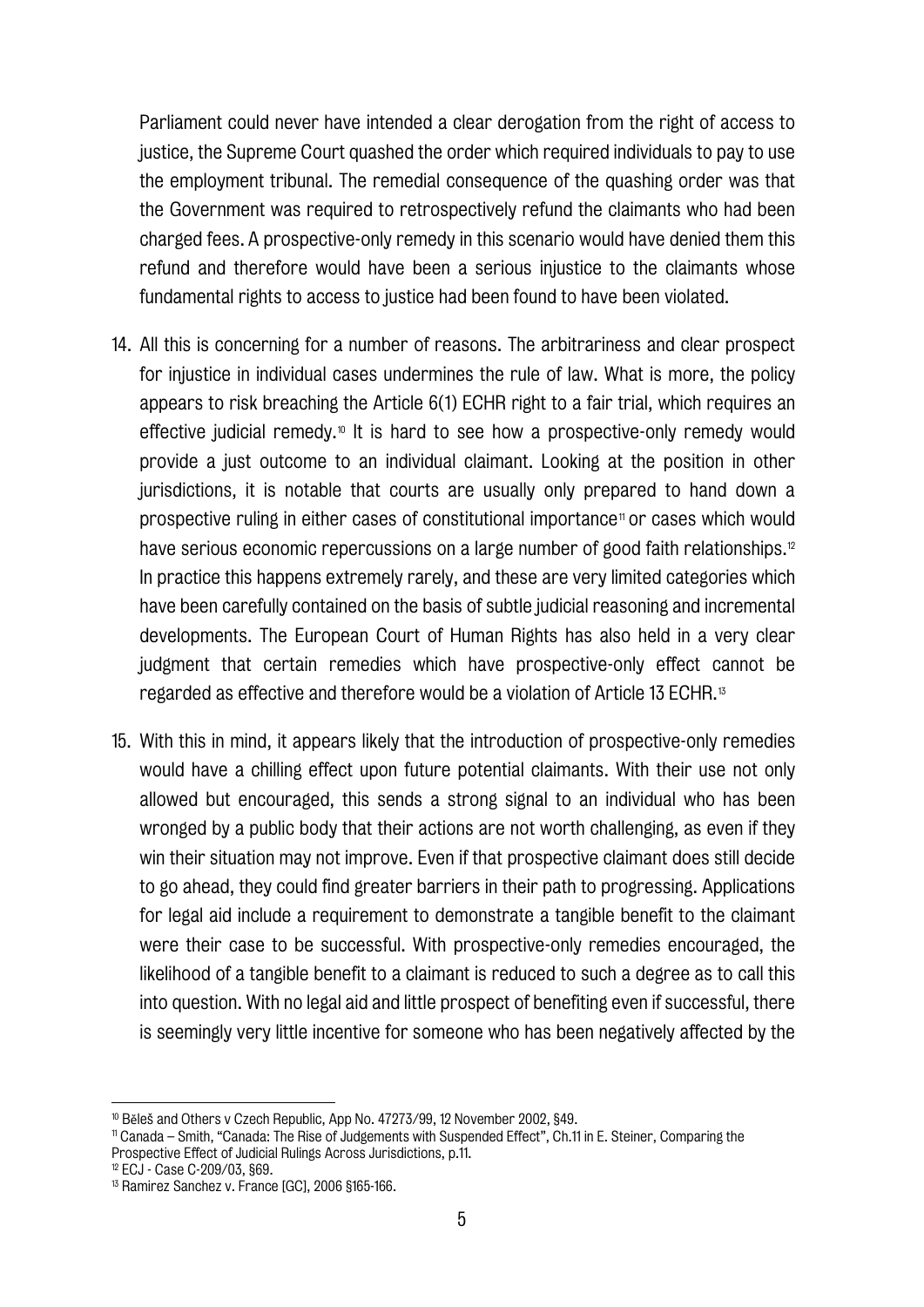Parliament could never have intended a clear derogation from the right of access to justice, the Supreme Court quashed the order which required individuals to pay to use the employment tribunal. The remedial consequence of the quashing order was that the Government was required to retrospectively refund the claimants who had been charged fees. A prospective-only remedy in this scenario would have denied them this refund and therefore would have been a serious injustice to the claimants whose fundamental rights to access to justice had been found to have been violated.

- 14. All this is concerning for a number of reasons. The arbitrariness and clear prospect for injustice in individual cases undermines the rule of law. What is more, the policy appears to risk breaching the Article 6(1) ECHR right to a fair trial, which requires an effective judicial remedy.<sup>[10](#page-7-0)</sup> It is hard to see how a prospective-only remedy would provide a just outcome to an individual claimant. Looking at the position in other jurisdictions, it is notable that courts are usually only prepared to hand down a prospective ruling in either cases of constitutional importance<sup>[11](#page-7-1)</sup> or cases which would have serious economic repercussions on a large number of good faith relationships.<sup>[12](#page-7-2)</sup> In practice this happens extremely rarely, and these are very limited categories which have been carefully contained on the basis of subtle judicial reasoning and incremental developments. The European Court of Human Rights has also held in a very clear judgment that certain remedies which have prospective-only effect cannot be regarded as effective and therefore would be a violation of Article 13 ECHR.[13](#page-7-3)
- 15. With this in mind, it appears likely that the introduction of prospective-only remedies would have a chilling effect upon future potential claimants. With their use not only allowed but encouraged, this sends a strong signal to an individual who has been wronged by a public body that their actions are not worth challenging, as even if they win their situation may not improve. Even if that prospective claimant does still decide to go ahead, they could find greater barriers in their path to progressing. Applications for legal aid include a requirement to demonstrate a tangible benefit to the claimant were their case to be successful. With prospective-only remedies encouraged, the likelihood of a tangible benefit to a claimant is reduced to such a degree as to call this into question. With no legal aid and little prospect of benefiting even if successful, there is seemingly very little incentive for someone who has been negatively affected by the

<span id="page-7-0"></span><sup>10</sup> Běleš and Others v Czech Republic, App No. 47273/99, 12 November 2002, §49.

<span id="page-7-1"></span><sup>11</sup> Canada – Smith, "Canada: The Rise of Judgements with Suspended Effect", Ch.11 in E. Steiner, Comparing the Prospective Effect of Judicial Rulings Across Jurisdictions, p.11.

<span id="page-7-2"></span><sup>12</sup> ECJ - Case C-209/03, §69.

<span id="page-7-3"></span><sup>13</sup> Ramirez Sanchez v. France [GC], 2006 §165-166.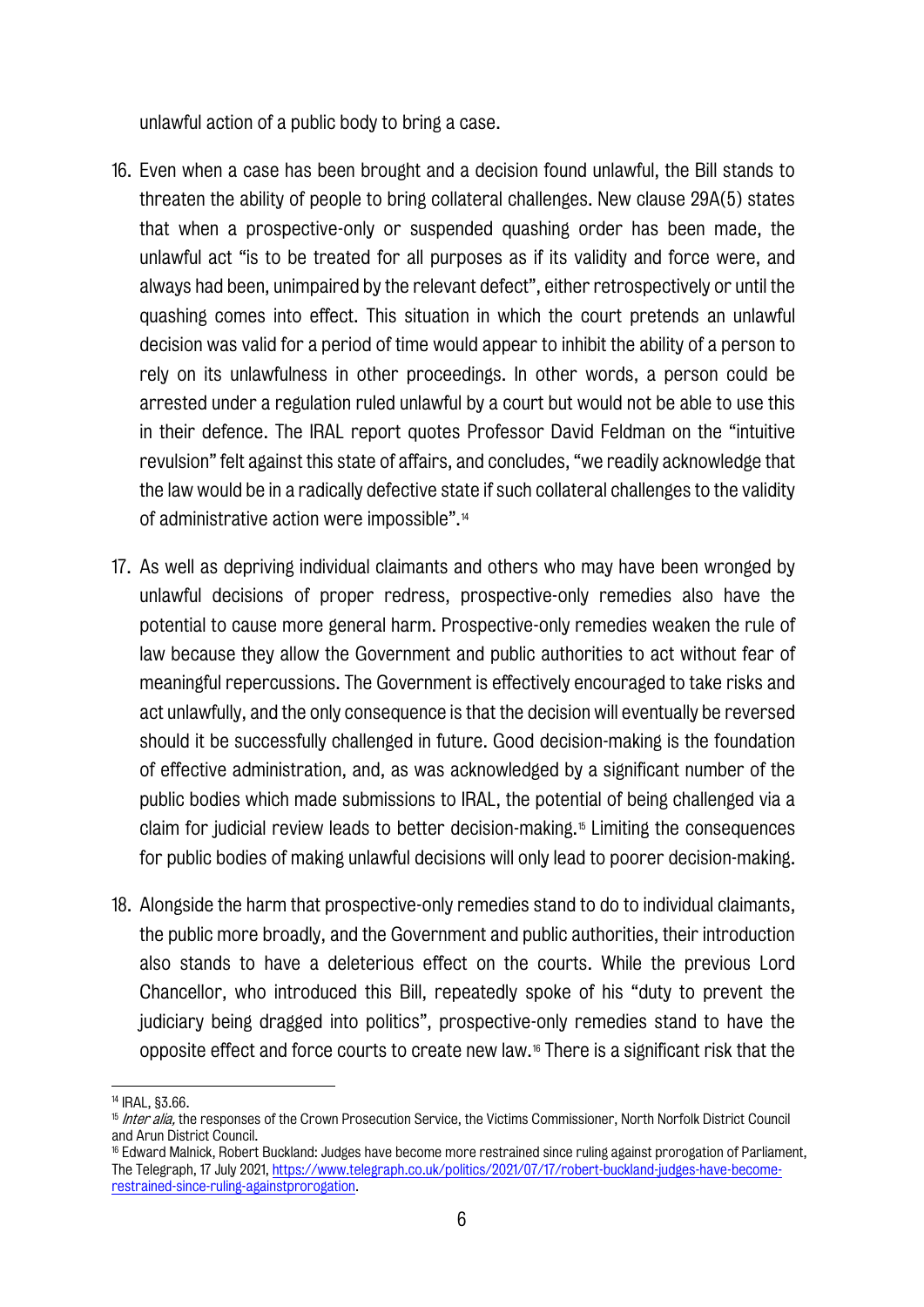unlawful action of a public body to bring a case.

- 16. Even when a case has been brought and a decision found unlawful, the Bill stands to threaten the ability of people to bring collateral challenges. New clause 29A(5) states that when a prospective-only or suspended quashing order has been made, the unlawful act "is to be treated for all purposes as if its validity and force were, and always had been, unimpaired by the relevant defect", either retrospectively or until the quashing comes into effect. This situation in which the court pretends an unlawful decision was valid for a period of time would appear to inhibit the ability of a person to rely on its unlawfulness in other proceedings. In other words, a person could be arrested under a regulation ruled unlawful by a court but would not be able to use this in their defence. The IRAL report quotes Professor David Feldman on the "intuitive revulsion" felt against this state of affairs, and concludes, "we readily acknowledge that the law would be in a radically defective state if such collateral challenges to the validity of administrative action were impossible".[14](#page-8-0)
- 17. As well as depriving individual claimants and others who may have been wronged by unlawful decisions of proper redress, prospective-only remedies also have the potential to cause more general harm. Prospective-only remedies weaken the rule of law because they allow the Government and public authorities to act without fear of meaningful repercussions. The Government is effectively encouraged to take risks and act unlawfully, and the only consequence is that the decision will eventually be reversed should it be successfully challenged in future. Good decision-making is the foundation of effective administration, and, as was acknowledged by a significant number of the public bodies which made submissions to IRAL, the potential of being challenged via a claim for judicial review leads to better decision-making.[15](#page-8-1) Limiting the consequences for public bodies of making unlawful decisions will only lead to poorer decision-making.
- 18. Alongside the harm that prospective-only remedies stand to do to individual claimants, the public more broadly, and the Government and public authorities, their introduction also stands to have a deleterious effect on the courts. While the previous Lord Chancellor, who introduced this Bill, repeatedly spoke of his "duty to prevent the judiciary being dragged into politics", prospective-only remedies stand to have the opposite effect and force courts to create new law.[16](#page-8-2) There is a significant risk that the

<span id="page-8-0"></span><sup>14</sup> IRAL, §3.66.

<span id="page-8-1"></span><sup>&</sup>lt;sup>15</sup> Inter alia, the responses of the Crown Prosecution Service, the Victims Commissioner, North Norfolk District Council and Arun District Council.

<span id="page-8-2"></span><sup>16</sup> Edward Malnick, Robert Buckland: Judges have become more restrained since ruling against prorogation of Parliament, The Telegraph, 17 July 2021[, https://www.telegraph.co.uk/politics/2021/07/17/robert-buckland-judges-have-become](https://www.telegraph.co.uk/politics/2021/07/17/robert-buckland-judges-have-become-restrained-since-ruling-againstprorogation)[restrained-since-ruling-againstprorogation.](https://www.telegraph.co.uk/politics/2021/07/17/robert-buckland-judges-have-become-restrained-since-ruling-againstprorogation)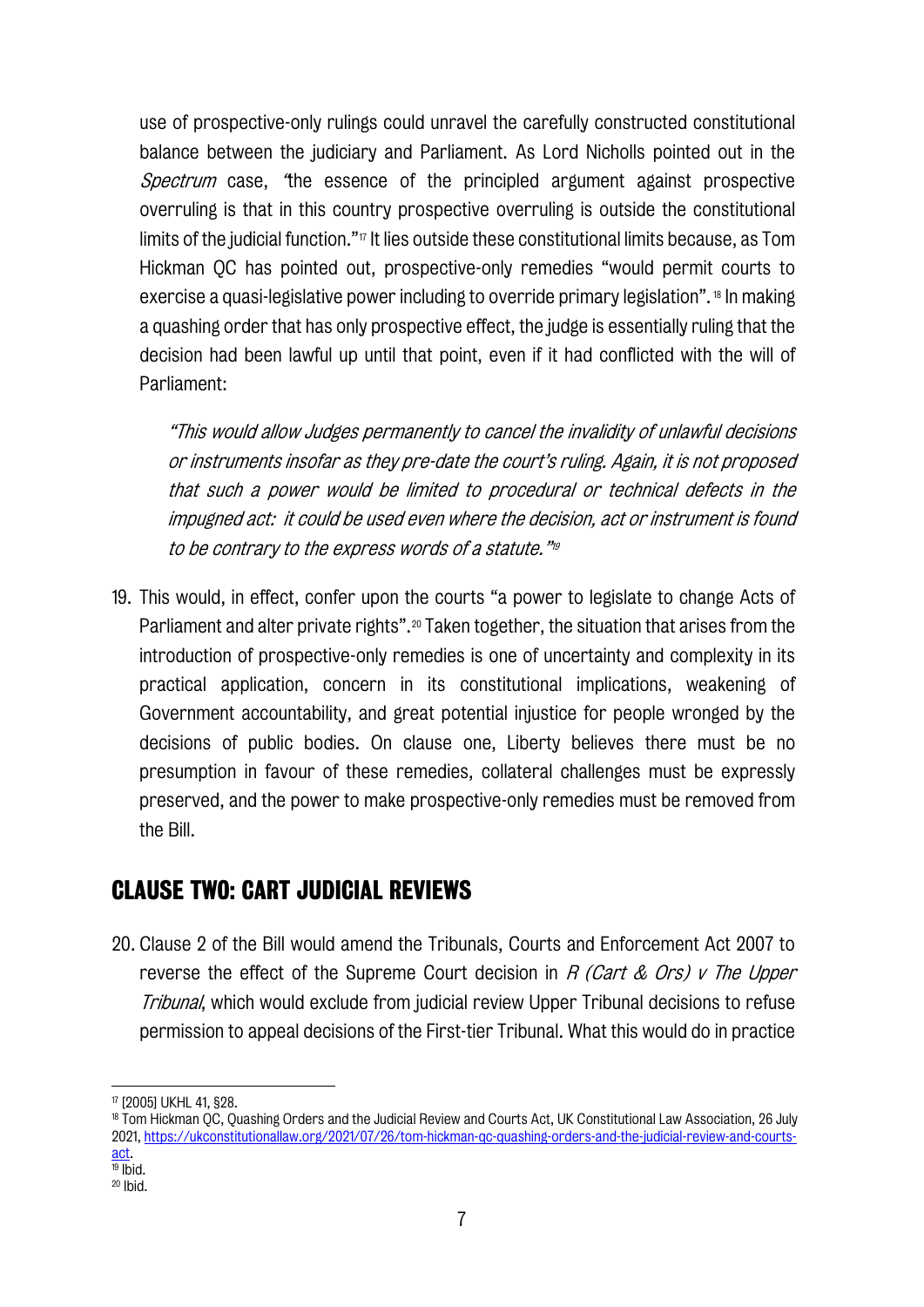use of prospective-only rulings could unravel the carefully constructed constitutional balance between the judiciary and Parliament. As Lord Nicholls pointed out in the Spectrum case, "the essence of the principled argument against prospective overruling is that in this country prospective overruling is outside the constitutional limits of the judicial function." $\pi$  It lies outside these constitutional limits because, as Tom Hickman QC has pointed out, prospective-only remedies "would permit courts to exercise a quasi-legislative power including to override primary legislation". [18](#page-9-1) In making a quashing order that has only prospective effect, the judge is essentially ruling that the decision had been lawful up until that point, even if it had conflicted with the will of Parliament:

"This would allow Judges permanently to cancel the invalidity of unlawful decisions or instruments insofar as they pre-date the court's ruling. Again, it is not proposed that such a power would be limited to procedural or technical defects in the impugned act:it could be used even where the decision, act or instrument is found to be contrary to the express words of a statute.["19](#page-9-2)

19. This would, in effect, confer upon the courts "a power to legislate to change Acts of Parliament and alter private rights".<sup>[20](#page-9-3)</sup> Taken together, the situation that arises from the introduction of prospective-only remedies is one of uncertainty and complexity in its practical application, concern in its constitutional implications, weakening of Government accountability, and great potential injustice for people wronged by the decisions of public bodies. On clause one, Liberty believes there must be no presumption in favour of these remedies, collateral challenges must be expressly preserved, and the power to make prospective-only remedies must be removed from the Bill.

## **CLAUSE TWO: CART JUDICIAL REVIEWS**

20. Clause 2 of the Bill would amend the Tribunals, Courts and Enforcement Act 2007 to reverse the effect of the Supreme Court decision in  $R$  (Cart & Ors) v The Upper **Tribunal, which would exclude from judicial review Upper Tribunal decisions to refuse** permission to appeal decisions of the First-tier Tribunal. What this would do in practice

<span id="page-9-1"></span><span id="page-9-0"></span> $\frac{\pi}{2}$  [2005] UKHL 41, §28.<br>18 Tom Hickman OC, Quashing Orders and the Judicial Review and Courts Act, UK Constitutional Law Association, 26 July 2021, [https://ukconstitutionallaw.org/2021/07/26/tom-hickman-qc-quashing-orders-and-the-judicial-review-and-courts](https://ukconstitutionallaw.org/2021/07/26/tom-hickman-qc-quashing-orders-and-the-judicial-review-and-courts-act)[act.](https://ukconstitutionallaw.org/2021/07/26/tom-hickman-qc-quashing-orders-and-the-judicial-review-and-courts-act) 19 Ibid.

<span id="page-9-3"></span><span id="page-9-2"></span><sup>20</sup> Ibid.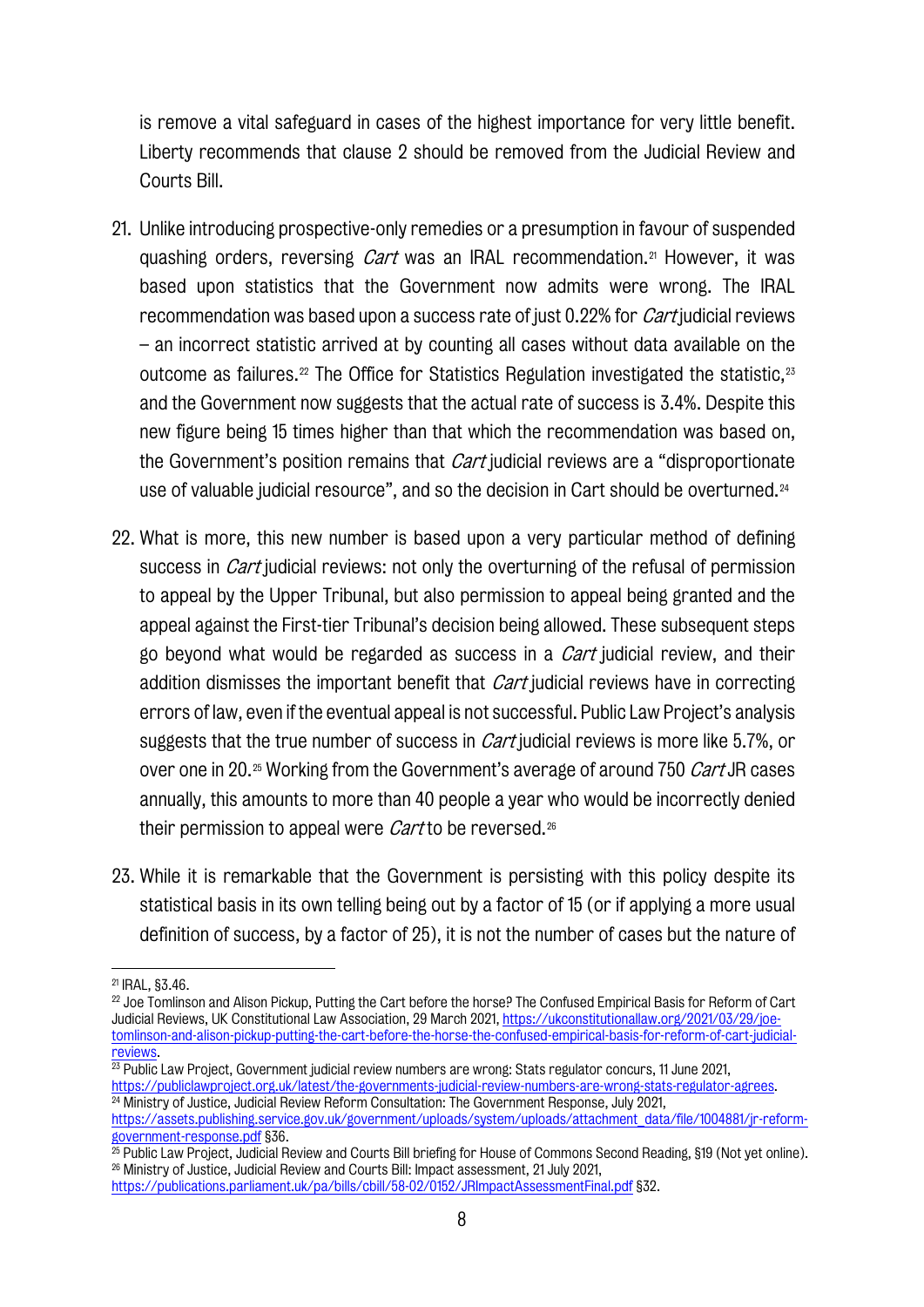is remove a vital safeguard in cases of the highest importance for very little benefit. Liberty recommends that clause 2 should be removed from the Judicial Review and Courts Bill.

- 21. Unlike introducing prospective-only remedies or a presumption in favour of suspended quashing orders, reversing *Cart* was an IRAL recommendation.<sup>[21](#page-10-0)</sup> However, it was based upon statistics that the Government now admits were wrong. The IRAL recommendation was based upon a success rate of just 0.22% for *Cart* judicial reviews – an incorrect statistic arrived at by counting all cases without data available on the outcome as failures.<sup>[22](#page-10-1)</sup> The Office for Statistics Regulation investigated the statistic.<sup>[23](#page-10-2)</sup> and the Government now suggests that the actual rate of success is 3.4%. Despite this new figure being 15 times higher than that which the recommendation was based on, the Government's position remains that *Cart* judicial reviews are a "disproportionate use of valuable judicial resource", and so the decision in Cart should be overturned.[24](#page-10-3)
- 22. What is more, this new number is based upon a very particular method of defining success in *Cart* judicial reviews: not only the overturning of the refusal of permission to appeal by the Upper Tribunal, but also permission to appeal being granted and the appeal against the First-tier Tribunal's decision being allowed. These subsequent steps go beyond what would be regarded as success in a *Cart* judicial review, and their addition dismisses the important benefit that *Cart* judicial reviews have in correcting errors of law, even if the eventual appeal is not successful. Public Law Project's analysis suggests that the true number of success in *Cart* judicial reviews is more like 5.7%, or over one in 20.<sup>[25](#page-10-4)</sup> Working from the Government's average of around 750 Cart JR cases annually, this amounts to more than 40 people a year who would be incorrectly denied their permission to appeal were *Cart* to be reversed.<sup>[26](#page-10-5)</sup>
- 23. While it is remarkable that the Government is persisting with this policy despite its statistical basis in its own telling being out by a factor of 15 (or if applying a more usual definition of success, by a factor of 25), it is not the number of cases but the nature of

<span id="page-10-0"></span><sup>21</sup> IRAL, §3.46.

<span id="page-10-1"></span><sup>&</sup>lt;sup>22</sup> Joe Tomlinson and Alison Pickup, Putting the Cart before the horse? The Confused Empirical Basis for Reform of Cart Judicial Reviews, UK Constitutional Law Association, 29 March 2021[, https://ukconstitutionallaw.org/2021/03/29/joe](https://ukconstitutionallaw.org/2021/03/29/joe-tomlinson-and-alison-pickup-putting-the-cart-before-the-horse-the-confused-empirical-basis-for-reform-of-cart-judicial-reviews)[tomlinson-and-alison-pickup-putting-the-cart-before-the-horse-the-confused-empirical-basis-for-reform-of-cart-judicial-](https://ukconstitutionallaw.org/2021/03/29/joe-tomlinson-and-alison-pickup-putting-the-cart-before-the-horse-the-confused-empirical-basis-for-reform-of-cart-judicial-reviews)

<span id="page-10-2"></span>[reviews.](https://ukconstitutionallaw.org/2021/03/29/joe-tomlinson-and-alison-pickup-putting-the-cart-before-the-horse-the-confused-empirical-basis-for-reform-of-cart-judicial-reviews)<br><sup>23</sup> Public Law Project, Government judicial review numbers are wrong: Stats regulator concurs, 11 June 2021, [https://publiclawproject.org.uk/latest/the-governments-judicial-review-numbers-are-wrong-stats-regulator-agrees.](https://publiclawproject.org.uk/latest/the-governments-judicial-review-numbers-are-wrong-stats-regulator-agrees)<br><sup>24</sup> Ministry of Justice, Judicial Review Reform Consultation: The Government Response, July 2021,

<span id="page-10-3"></span>https://assets.publishing.service.gov.uk/government/uploads/system/uploads/attachment\_data/file/1004881/ir-reform[government-response.pdf](https://assets.publishing.service.gov.uk/government/uploads/system/uploads/attachment_data/file/1004881/jr-reform-government-response.pdf) §36.

<span id="page-10-5"></span><span id="page-10-4"></span><sup>&</sup>lt;sup>25</sup> Public Law Project, Judicial Review and Courts Bill briefing for House of Commons Second Reading, §19 (Not yet online). <sup>26</sup> Ministry of Justice, Judicial Review and Courts Bill: Impact assessment, 21 July 2021, <https://publications.parliament.uk/pa/bills/cbill/58-02/0152/JRImpactAssessmentFinal.pdf> §32.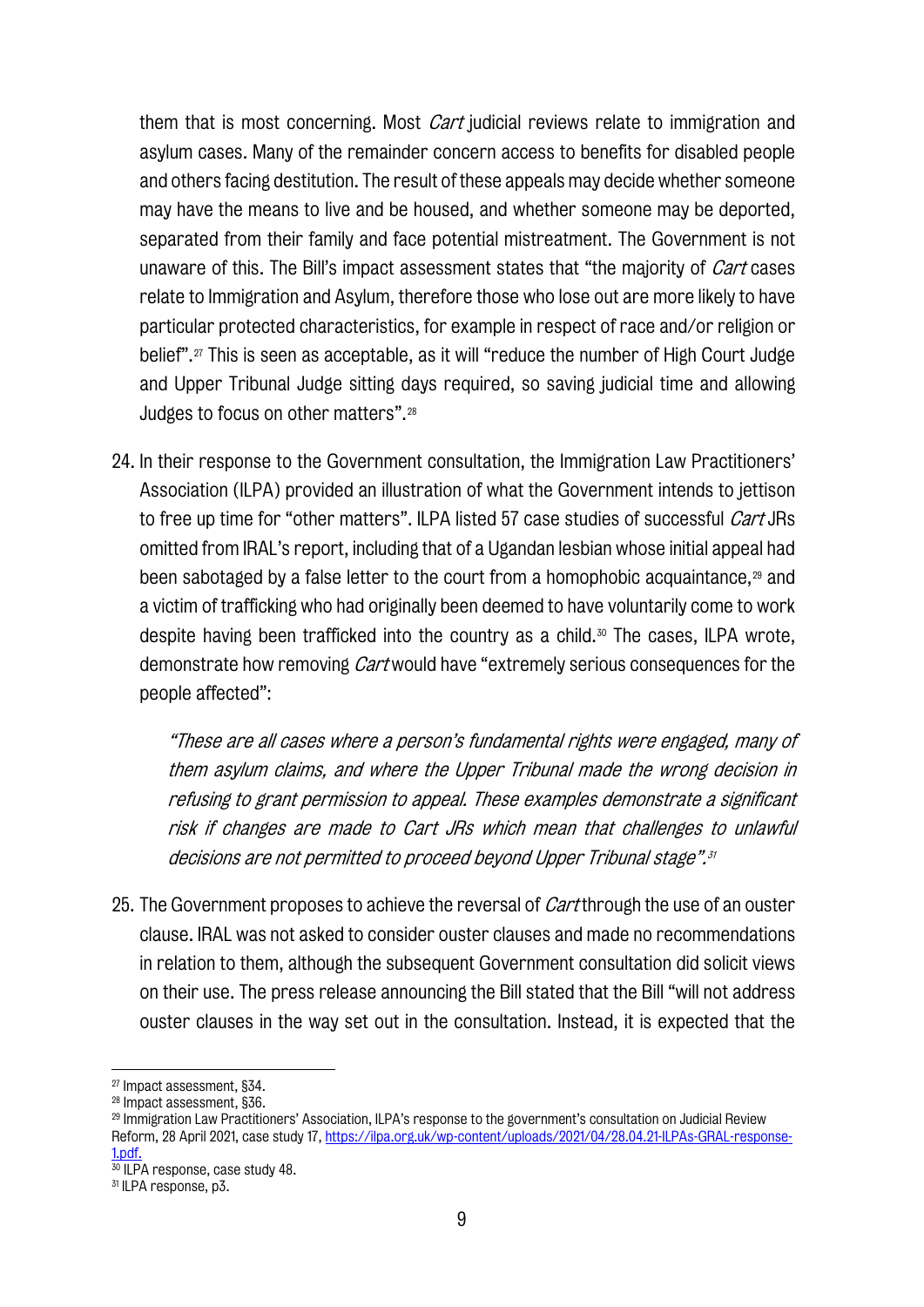them that is most concerning. Most *Cart* judicial reviews relate to immigration and asylum cases. Many of the remainder concern access to benefits for disabled people and others facing destitution. The result of these appeals may decide whether someone may have the means to live and be housed, and whether someone may be deported, separated from their family and face potential mistreatment. The Government is not unaware of this. The Bill's impact assessment states that "the majority of *Cart* cases relate to Immigration and Asylum, therefore those who lose out are more likely to have particular protected characteristics, for example in respect of race and/or religion or belief".[27](#page-11-0) This is seen as acceptable, as it will "reduce the number of High Court Judge and Upper Tribunal Judge sitting days required, so saving judicial time and allowing Judges to focus on other matters".[28](#page-11-1)

24. In their response to the Government consultation, the Immigration Law Practitioners' Association (ILPA) provided an illustration of what the Government intends to jettison to free up time for "other matters". ILPA listed 57 case studies of successful *Cart* JRs omitted from IRAL's report, including that of a Ugandan lesbian whose initial appeal had been sabotaged by a false letter to the court from a homophobic acquaintance,[29](#page-11-2) and a victim of trafficking who had originally been deemed to have voluntarily come to work despite having been trafficked into the country as a child.<sup>[30](#page-11-3)</sup> The cases, ILPA wrote, demonstrate how removing *Cart* would have "extremely serious consequences for the people affected":

"These are all cases where a person's fundamental rights were engaged, many of them asylum claims, and where the Upper Tribunal made the wrong decision in refusing to grant permission to appeal. These examples demonstrate a significant risk if changes are made to Cart JRs which mean that challenges to unlawful decisions are not permitted to proceed beyond Upper Tribunal stage".[31](#page-11-4)

25. The Government proposes to achieve the reversal of *Cart* through the use of an ouster clause. IRAL was not asked to consider ouster clauses and made no recommendations in relation to them, although the subsequent Government consultation did solicit views on their use. The press release announcing the Bill stated that the Bill "will not address ouster clauses in the way set out in the consultation. Instead, it is expected that the

<span id="page-11-2"></span><sup>29</sup> Immigration Law Practitioners' Association, ILPA's response to the government's consultation on Judicial Review Reform, 28 April 2021, case study 17[, https://ilpa.org.uk/wp-content/uploads/2021/04/28.04.21-ILPAs-GRAL-response-](https://ilpa.org.uk/wp-content/uploads/2021/04/28.04.21-ILPAs-GRAL-response-1.pdf)[1.pdf.](https://ilpa.org.uk/wp-content/uploads/2021/04/28.04.21-ILPAs-GRAL-response-1.pdf)

<span id="page-11-0"></span><sup>27</sup> Impact assessment, §34.

<span id="page-11-1"></span><sup>28</sup> Impact assessment, §36.

<span id="page-11-3"></span><sup>&</sup>lt;sup>30</sup> ILPA response, case study 48.

<span id="page-11-4"></span><sup>31</sup> ILPA response, p3.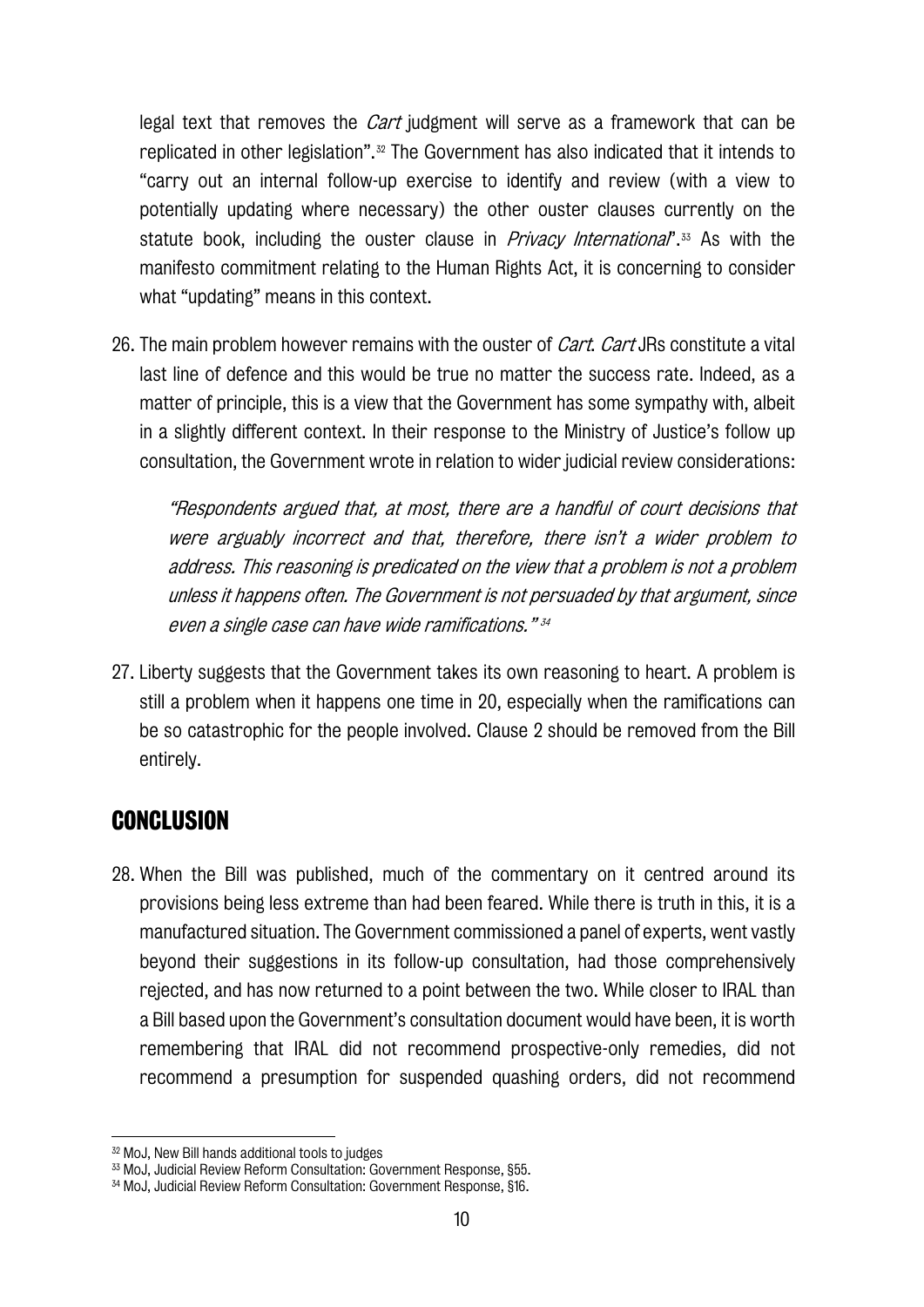legal text that removes the *Cart* judgment will serve as a framework that can be replicated in other legislation".[32](#page-12-0) The Government has also indicated that it intends to "carry out an internal follow-up exercise to identify and review (with a view to potentially updating where necessary) the other ouster clauses currently on the statute book, including the ouster clause in *Privacy International*".<sup>[33](#page-12-1)</sup> As with the manifesto commitment relating to the Human Rights Act, it is concerning to consider what "updating" means in this context.

26. The main problem however remains with the ouster of *Cart. Cart* JRs constitute a vital last line of defence and this would be true no matter the success rate. Indeed, as a matter of principle, this is a view that the Government has some sympathy with, albeit in a slightly different context. In their response to the Ministry of Justice's follow up consultation, the Government wrote in relation to wider judicial review considerations:

"Respondents argued that, at most, there are a handful of court decisions that were arguably incorrect and that, therefore, there isn't a wider problem to address. This reasoning is predicated on the view that a problem is not a problem unless it happens often. The Government is not persuaded by that argument, since even a single case can have wide ramifications." [34](#page-12-2)

27. Liberty suggests that the Government takes its own reasoning to heart. A problem is still a problem when it happens one time in 20, especially when the ramifications can be so catastrophic for the people involved. Clause 2 should be removed from the Bill entirely.

## **CONCLUSION**

28. When the Bill was published, much of the commentary on it centred around its provisions being less extreme than had been feared. While there is truth in this, it is a manufactured situation. The Government commissioned a panel of experts, went vastly beyond their suggestions in its follow-up consultation, had those comprehensively rejected, and has now returned to a point between the two. While closer to IRAL than a Bill based upon the Government's consultation document would have been, it is worth remembering that IRAL did not recommend prospective-only remedies, did not recommend a presumption for suspended quashing orders, did not recommend

<span id="page-12-0"></span><sup>32</sup> MoJ, New Bill hands additional tools to judges

<sup>33</sup> MoJ, Judicial Review Reform Consultation: Government Response, §55.

<span id="page-12-2"></span><span id="page-12-1"></span><sup>&</sup>lt;sup>34</sup> MoJ, Judicial Review Reform Consultation: Government Response, §16.